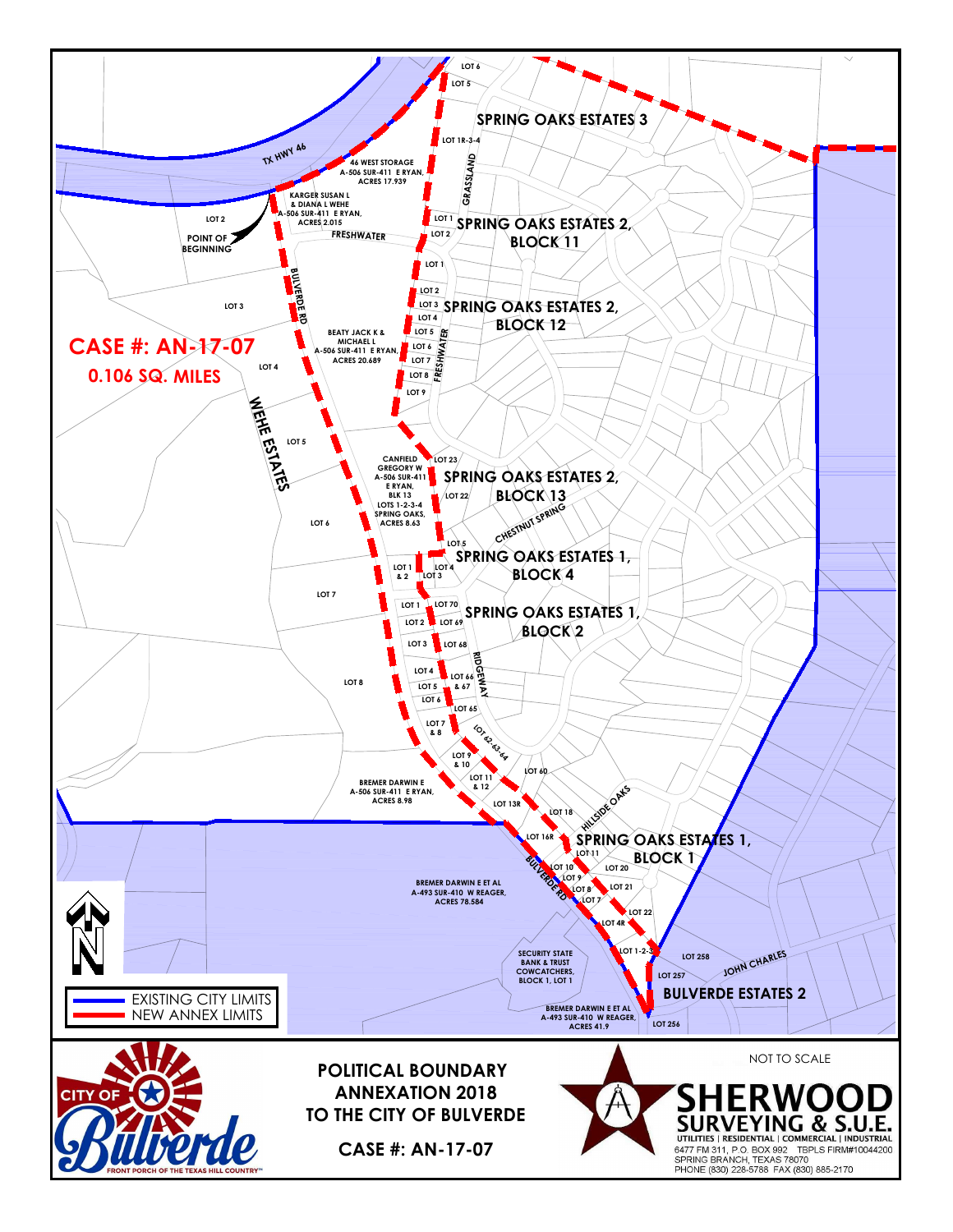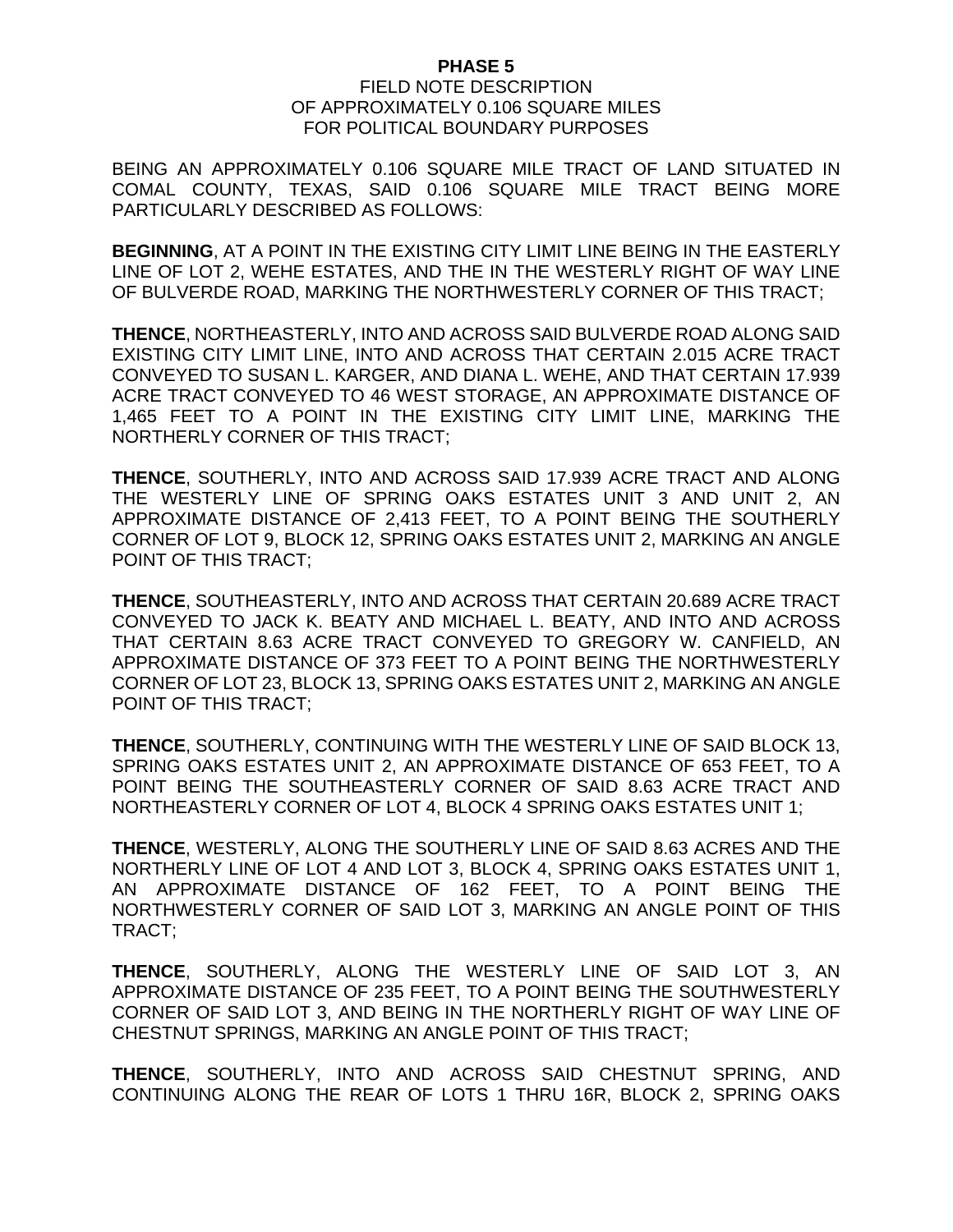## **PHASE 5**

## FIELD NOTE DESCRIPTION OF APPROXIMATELY 0.106 SQUARE MILES FOR POLITICAL BOUNDARY PURPOSES

BEING AN APPROXIMATELY 0.106 SQUARE MILE TRACT OF LAND SITUATED IN COMAL COUNTY, TEXAS, SAID 0.106 SQUARE MILE TRACT BEING MORE PARTICULARLY DESCRIBED AS FOLLOWS:

**BEGINNING**, AT A POINT IN THE EXISTING CITY LIMIT LINE BEING IN THE EASTERLY LINE OF LOT 2, WEHE ESTATES, AND THE IN THE WESTERLY RIGHT OF WAY LINE OF BULVERDE ROAD, MARKING THE NORTHWESTERLY CORNER OF THIS TRACT;

**THENCE**, NORTHEASTERLY, INTO AND ACROSS SAID BULVERDE ROAD ALONG SAID EXISTING CITY LIMIT LINE, INTO AND ACROSS THAT CERTAIN 2.015 ACRE TRACT CONVEYED TO SUSAN L. KARGER, AND DIANA L. WEHE, AND THAT CERTAIN 17.939 ACRE TRACT CONVEYED TO 46 WEST STORAGE, AN APPROXIMATE DISTANCE OF 1,465 FEET TO A POINT IN THE EXISTING CITY LIMIT LINE, MARKING THE NORTHERLY CORNER OF THIS TRACT;

**THENCE**, SOUTHERLY, INTO AND ACROSS SAID 17.939 ACRE TRACT AND ALONG THE WESTERLY LINE OF SPRING OAKS ESTATES UNIT 3 AND UNIT 2, AN APPROXIMATE DISTANCE OF 2,413 FEET, TO A POINT BEING THE SOUTHERLY CORNER OF LOT 9, BLOCK 12, SPRING OAKS ESTATES UNIT 2, MARKING AN ANGLE POINT OF THIS TRACT;

**THENCE**, SOUTHEASTERLY, INTO AND ACROSS THAT CERTAIN 20.689 ACRE TRACT CONVEYED TO JACK K. BEATY AND MICHAEL L. BEATY, AND INTO AND ACROSS THAT CERTAIN 8.63 ACRE TRACT CONVEYED TO GREGORY W. CANFIELD, AN APPROXIMATE DISTANCE OF 373 FEET TO A POINT BEING THE NORTHWESTERLY CORNER OF LOT 23, BLOCK 13, SPRING OAKS ESTATES UNIT 2, MARKING AN ANGLE POINT OF THIS TRACT;

**THENCE**, SOUTHERLY, CONTINUING WITH THE WESTERLY LINE OF SAID BLOCK 13, SPRING OAKS ESTATES UNIT 2, AN APPROXIMATE DISTANCE OF 653 FEET, TO A POINT BEING THE SOUTHEASTERLY CORNER OF SAID 8.63 ACRE TRACT AND NORTHEASTERLY CORNER OF LOT 4, BLOCK 4 SPRING OAKS ESTATES UNIT 1;

**THENCE**, WESTERLY, ALONG THE SOUTHERLY LINE OF SAID 8.63 ACRES AND THE NORTHERLY LINE OF LOT 4 AND LOT 3, BLOCK 4, SPRING OAKS ESTATES UNIT 1, AN APPROXIMATE DISTANCE OF 162 FEET, TO A POINT BEING THE NORTHWESTERLY CORNER OF SAID LOT 3, MARKING AN ANGLE POINT OF THIS TRACT;

**THENCE**, SOUTHERLY, ALONG THE WESTERLY LINE OF SAID LOT 3, AN APPROXIMATE DISTANCE OF 235 FEET, TO A POINT BEING THE SOUTHWESTERLY CORNER OF SAID LOT 3, AND BEING IN THE NORTHERLY RIGHT OF WAY LINE OF CHESTNUT SPRINGS, MARKING AN ANGLE POINT OF THIS TRACT;

**THENCE**, SOUTHERLY, INTO AND ACROSS SAID CHESTNUT SPRING, AND CONTINUING ALONG THE REAR OF LOTS 1 THRU 16R, BLOCK 2, SPRING OAKS